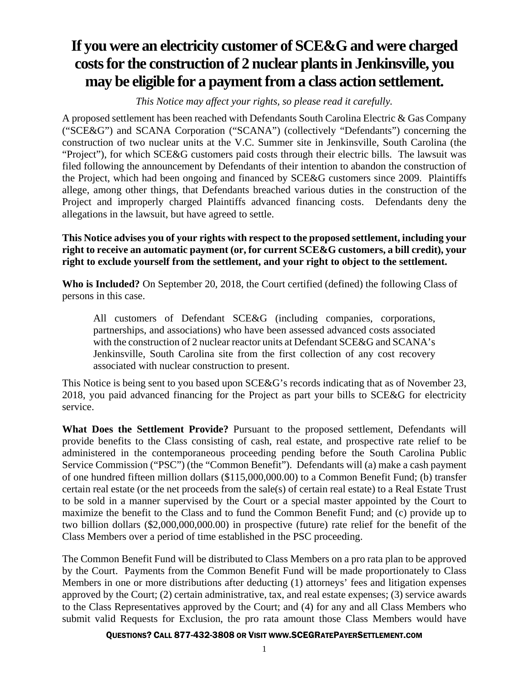## **If you were an electricity customer of SCE&G and were charged costs for the construction of 2 nuclear plants in Jenkinsville, you may be eligible for a payment from a class action settlement.**

*This Notice may affect your rights, so please read it carefully.* 

A proposed settlement has been reached with Defendants South Carolina Electric & Gas Company ("SCE&G") and SCANA Corporation ("SCANA") (collectively "Defendants") concerning the construction of two nuclear units at the V.C. Summer site in Jenkinsville, South Carolina (the "Project"), for which SCE&G customers paid costs through their electric bills. The lawsuit was filed following the announcement by Defendants of their intention to abandon the construction of the Project, which had been ongoing and financed by SCE&G customers since 2009. Plaintiffs allege, among other things, that Defendants breached various duties in the construction of the Project and improperly charged Plaintiffs advanced financing costs. Defendants deny the allegations in the lawsuit, but have agreed to settle.

**This Notice advises you of your rights with respect to the proposed settlement, including your right to receive an automatic payment (or, for current SCE&G customers, a bill credit), your right to exclude yourself from the settlement, and your right to object to the settlement.** 

**Who is Included?** On September 20, 2018, the Court certified (defined) the following Class of persons in this case.

All customers of Defendant SCE&G (including companies, corporations, partnerships, and associations) who have been assessed advanced costs associated with the construction of 2 nuclear reactor units at Defendant SCE&G and SCANA's Jenkinsville, South Carolina site from the first collection of any cost recovery associated with nuclear construction to present.

This Notice is being sent to you based upon SCE&G's records indicating that as of November 23, 2018, you paid advanced financing for the Project as part your bills to SCE&G for electricity service.

**What Does the Settlement Provide?** Pursuant to the proposed settlement, Defendants will provide benefits to the Class consisting of cash, real estate, and prospective rate relief to be administered in the contemporaneous proceeding pending before the South Carolina Public Service Commission ("PSC") (the "Common Benefit"). Defendants will (a) make a cash payment of one hundred fifteen million dollars (\$115,000,000.00) to a Common Benefit Fund; (b) transfer certain real estate (or the net proceeds from the sale(s) of certain real estate) to a Real Estate Trust to be sold in a manner supervised by the Court or a special master appointed by the Court to maximize the benefit to the Class and to fund the Common Benefit Fund; and (c) provide up to two billion dollars (\$2,000,000,000.00) in prospective (future) rate relief for the benefit of the Class Members over a period of time established in the PSC proceeding.

The Common Benefit Fund will be distributed to Class Members on a pro rata plan to be approved by the Court. Payments from the Common Benefit Fund will be made proportionately to Class Members in one or more distributions after deducting (1) attorneys' fees and litigation expenses approved by the Court; (2) certain administrative, tax, and real estate expenses; (3) service awards to the Class Representatives approved by the Court; and (4) for any and all Class Members who submit valid Requests for Exclusion, the pro rata amount those Class Members would have

## QUESTIONS? CALL 877-432-3808 OR VISIT WWW.SCEGRATEPAYERSETTLEMENT.COM